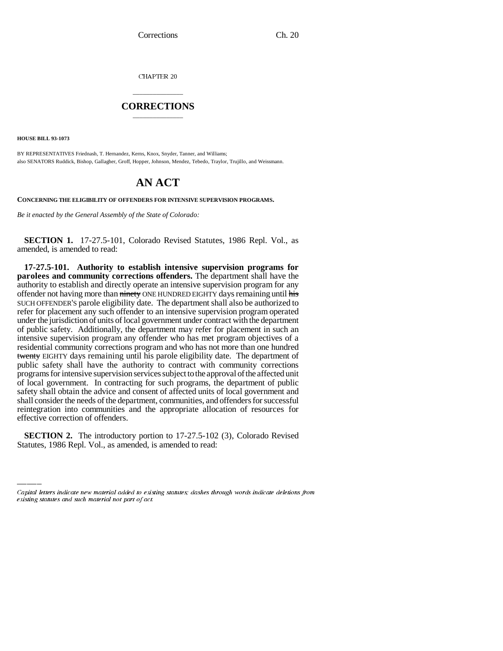CHAPTER 20

## \_\_\_\_\_\_\_\_\_\_\_\_\_\_\_ **CORRECTIONS** \_\_\_\_\_\_\_\_\_\_\_\_\_\_\_

**HOUSE BILL 93-1073**

BY REPRESENTATIVES Friednash, T. Hernandez, Kerns, Knox, Snyder, Tanner, and Williams; also SENATORS Ruddick, Bishop, Gallagher, Groff, Hopper, Johnson, Mendez, Tebedo, Traylor, Trujillo, and Weissmann.

## **AN ACT**

**CONCERNING THE ELIGIBILITY OF OFFENDERS FOR INTENSIVE SUPERVISION PROGRAMS.**

*Be it enacted by the General Assembly of the State of Colorado:*

**SECTION 1.** 17-27.5-101, Colorado Revised Statutes, 1986 Repl. Vol., as amended, is amended to read:

effective correction of offenders. **17-27.5-101. Authority to establish intensive supervision programs for parolees and community corrections offenders.** The department shall have the authority to establish and directly operate an intensive supervision program for any offender not having more than ninety ONE HUNDRED EIGHTY days remaining until his SUCH OFFENDER'S parole eligibility date. The department shall also be authorized to refer for placement any such offender to an intensive supervision program operated under the jurisdiction of units of local government under contract with the department of public safety. Additionally, the department may refer for placement in such an intensive supervision program any offender who has met program objectives of a residential community corrections program and who has not more than one hundred twenty EIGHTY days remaining until his parole eligibility date. The department of public safety shall have the authority to contract with community corrections programs for intensive supervision services subject to the approval of the affected unit of local government. In contracting for such programs, the department of public safety shall obtain the advice and consent of affected units of local government and shall consider the needs of the department, communities, and offenders for successful reintegration into communities and the appropriate allocation of resources for

**SECTION 2.** The introductory portion to 17-27.5-102 (3), Colorado Revised Statutes, 1986 Repl. Vol., as amended, is amended to read:

Capital letters indicate new material added to existing statutes; dashes through words indicate deletions from existing statutes and such material not part of act.